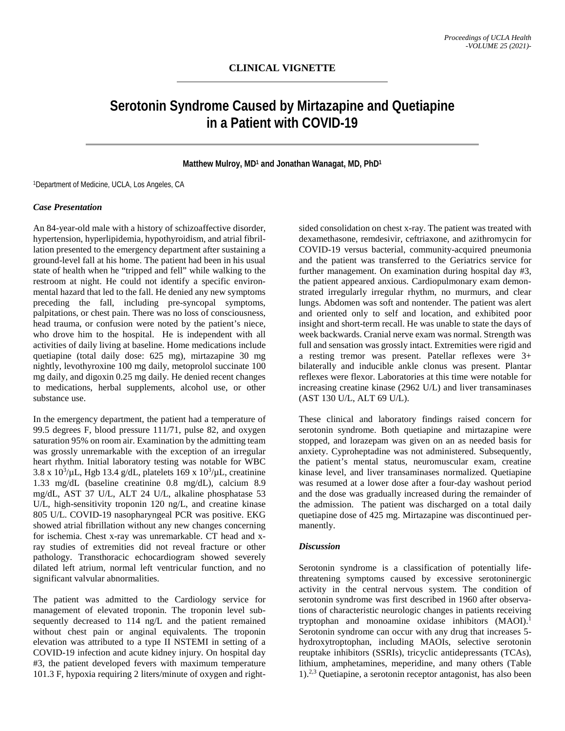# **Serotonin Syndrome Caused by Mirtazapine and Quetiapine in a Patient with COVID-19**

#### **Matthew Mulroy, MD1 and Jonathan Wanagat, MD, PhD1**

1Department of Medicine, UCLA, Los Angeles, CA

### *Case Presentation*

An 84-year-old male with a history of schizoaffective disorder, hypertension, hyperlipidemia, hypothyroidism, and atrial fibrillation presented to the emergency department after sustaining a ground-level fall at his home. The patient had been in his usual state of health when he "tripped and fell" while walking to the restroom at night. He could not identify a specific environmental hazard that led to the fall. He denied any new symptoms preceding the fall, including pre-syncopal symptoms, palpitations, or chest pain. There was no loss of consciousness, head trauma, or confusion were noted by the patient's niece, who drove him to the hospital. He is independent with all activities of daily living at baseline. Home medications include quetiapine (total daily dose: 625 mg), mirtazapine 30 mg nightly, levothyroxine 100 mg daily, metoprolol succinate 100 mg daily, and digoxin 0.25 mg daily. He denied recent changes to medications, herbal supplements, alcohol use, or other substance use.

In the emergency department, the patient had a temperature of 99.5 degrees F, blood pressure 111/71, pulse 82, and oxygen saturation 95% on room air. Examination by the admitting team was grossly unremarkable with the exception of an irregular heart rhythm. Initial laboratory testing was notable for WBC  $3.8 \times 10^3/\mu L$ , Hgb 13.4 g/dL, platelets 169 x  $10^3/\mu L$ , creatinine 1.33 mg/dL (baseline creatinine 0.8 mg/dL), calcium 8.9 mg/dL, AST 37 U/L, ALT 24 U/L, alkaline phosphatase 53 U/L, high-sensitivity troponin 120 ng/L, and creatine kinase 805 U/L. COVID-19 nasopharyngeal PCR was positive. EKG showed atrial fibrillation without any new changes concerning for ischemia. Chest x-ray was unremarkable. CT head and xray studies of extremities did not reveal fracture or other pathology. Transthoracic echocardiogram showed severely dilated left atrium, normal left ventricular function, and no significant valvular abnormalities.

The patient was admitted to the Cardiology service for management of elevated troponin. The troponin level subsequently decreased to 114 ng/L and the patient remained without chest pain or anginal equivalents. The troponin elevation was attributed to a type II NSTEMI in setting of a COVID-19 infection and acute kidney injury. On hospital day #3, the patient developed fevers with maximum temperature 101.3 F, hypoxia requiring 2 liters/minute of oxygen and right-

sided consolidation on chest x-ray. The patient was treated with dexamethasone, remdesivir, ceftriaxone, and azithromycin for COVID-19 versus bacterial, community-acquired pneumonia and the patient was transferred to the Geriatrics service for further management. On examination during hospital day #3, the patient appeared anxious. Cardiopulmonary exam demonstrated irregularly irregular rhythm, no murmurs, and clear lungs. Abdomen was soft and nontender. The patient was alert and oriented only to self and location, and exhibited poor insight and short-term recall. He was unable to state the days of week backwards. Cranial nerve exam was normal. Strength was full and sensation was grossly intact. Extremities were rigid and a resting tremor was present. Patellar reflexes were 3+ bilaterally and inducible ankle clonus was present. Plantar reflexes were flexor. Laboratories at this time were notable for increasing creatine kinase (2962 U/L) and liver transaminases (AST 130 U/L, ALT 69 U/L).

These clinical and laboratory findings raised concern for serotonin syndrome. Both quetiapine and mirtazapine were stopped, and lorazepam was given on an as needed basis for anxiety. Cyproheptadine was not administered. Subsequently, the patient's mental status, neuromuscular exam, creatine kinase level, and liver transaminases normalized. Quetiapine was resumed at a lower dose after a four-day washout period and the dose was gradually increased during the remainder of the admission. The patient was discharged on a total daily quetiapine dose of 425 mg. Mirtazapine was discontinued permanently.

#### *Discussion*

Serotonin syndrome is a classification of potentially lifethreatening symptoms caused by excessive serotoninergic activity in the central nervous system. The condition of serotonin syndrome was first described in 1960 after observations of characteristic neurologic changes in patients receiving tryptophan and monoamine oxidase inhibitors (MAOI). 1 Serotonin syndrome can occur with any drug that increases 5 hydroxytroptophan, including MAOIs, selective serotonin reuptake inhibitors (SSRIs), tricyclic antidepressants (TCAs), lithium, amphetamines, meperidine, and many others (Table 1). 2,3 Quetiapine, a serotonin receptor antagonist, has also been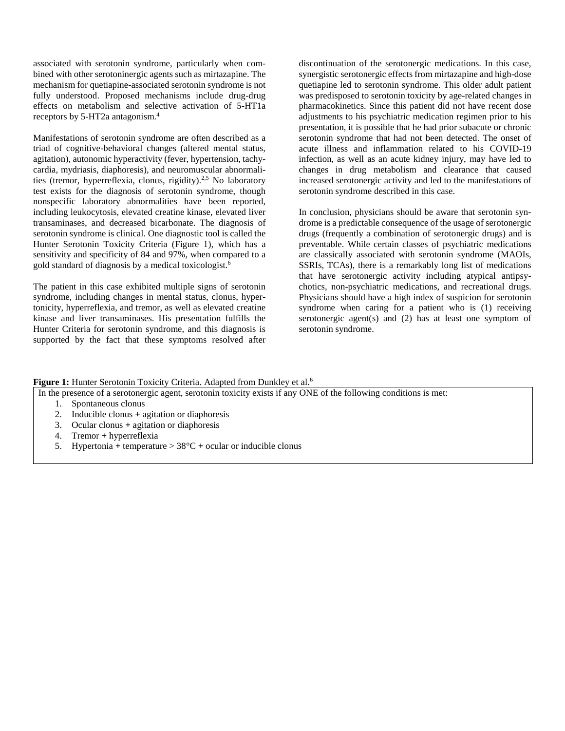associated with serotonin syndrome, particularly when combined with other serotoninergic agents such as mirtazapine. The mechanism for quetiapine-associated serotonin syndrome is not fully understood. Proposed mechanisms include drug-drug effects on metabolism and selective activation of 5-HT1a receptors by 5-HT2a antagonism. 4

Manifestations of serotonin syndrome are often described as a triad of cognitive-behavioral changes (altered mental status, agitation), autonomic hyperactivity (fever, hypertension, tachycardia, mydriasis, diaphoresis), and neuromuscular abnormalities (tremor, hyperreflexia, clonus, rigidity).<sup>2,5</sup> No laboratory test exists for the diagnosis of serotonin syndrome, though nonspecific laboratory abnormalities have been reported, including leukocytosis, elevated creatine kinase, elevated liver transaminases, and decreased bicarbonate. The diagnosis of serotonin syndrome is clinical. One diagnostic tool is called the Hunter Serotonin Toxicity Criteria (Figure 1), which has a sensitivity and specificity of 84 and 97%, when compared to a gold standard of diagnosis by a medical toxicologist. 6

The patient in this case exhibited multiple signs of serotonin syndrome, including changes in mental status, clonus, hypertonicity, hyperreflexia, and tremor, as well as elevated creatine kinase and liver transaminases. His presentation fulfills the Hunter Criteria for serotonin syndrome, and this diagnosis is supported by the fact that these symptoms resolved after

discontinuation of the serotonergic medications. In this case, synergistic serotonergic effects from mirtazapine and high-dose quetiapine led to serotonin syndrome. This older adult patient was predisposed to serotonin toxicity by age-related changes in pharmacokinetics. Since this patient did not have recent dose adjustments to his psychiatric medication regimen prior to his presentation, it is possible that he had prior subacute or chronic serotonin syndrome that had not been detected. The onset of acute illness and inflammation related to his COVID-19 infection, as well as an acute kidney injury, may have led to changes in drug metabolism and clearance that caused increased serotonergic activity and led to the manifestations of serotonin syndrome described in this case.

In conclusion, physicians should be aware that serotonin syndrome is a predictable consequence of the usage of serotonergic drugs (frequently a combination of serotonergic drugs) and is preventable. While certain classes of psychiatric medications are classically associated with serotonin syndrome (MAOIs, SSRIs, TCAs), there is a remarkably long list of medications that have serotonergic activity including atypical antipsychotics, non-psychiatric medications, and recreational drugs. Physicians should have a high index of suspicion for serotonin syndrome when caring for a patient who is (1) receiving serotonergic agent(s) and (2) has at least one symptom of serotonin syndrome.

**Figure 1:** Hunter Serotonin Toxicity Criteria. Adapted from Dunkley et al.<sup>6</sup>

In the presence of a serotonergic agent, serotonin toxicity exists if any ONE of the following conditions is met:

- 1. Spontaneous clonus
- 2. Inducible clonus **+** agitation or diaphoresis
- 3. Ocular clonus **+** agitation or diaphoresis
- 4. Tremor **+** hyperreflexia
- 5. Hypertonia **+** temperature > 38°C **+** ocular or inducible clonus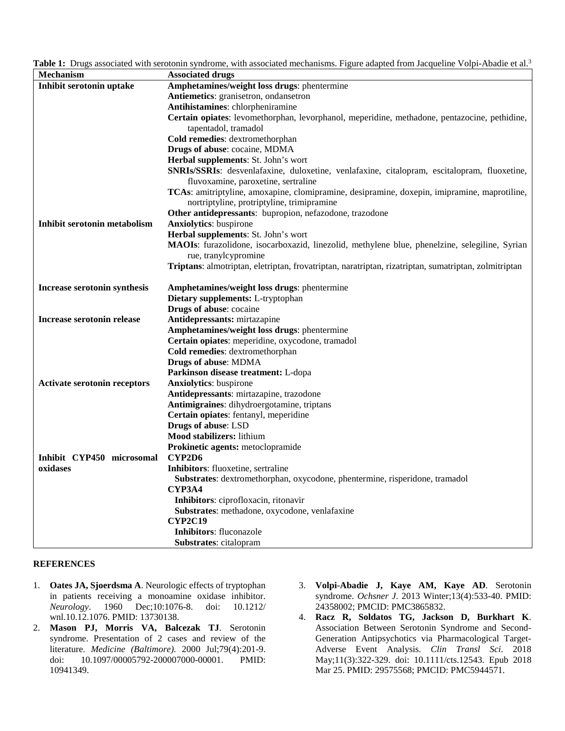**Table 1:** Drugs associated with serotonin syndrome, with associated mechanisms. Figure adapted from Jacqueline Volpi-Abadie et al.3

| Mechanism                           | <b>Associated drugs</b>                                                                              |
|-------------------------------------|------------------------------------------------------------------------------------------------------|
| Inhibit serotonin uptake            | Amphetamines/weight loss drugs: phentermine                                                          |
|                                     | Antiemetics: granisetron, ondansetron                                                                |
|                                     | Antihistamines: chlorpheniramine                                                                     |
|                                     | Certain opiates: levomethorphan, levorphanol, meperidine, methadone, pentazocine, pethidine,         |
|                                     | tapentadol, tramadol                                                                                 |
|                                     | Cold remedies: dextromethorphan                                                                      |
|                                     | Drugs of abuse: cocaine, MDMA                                                                        |
|                                     | Herbal supplements: St. John's wort                                                                  |
|                                     | SNRIs/SSRIs: desvenlafaxine, duloxetine, venlafaxine, citalopram, escitalopram, fluoxetine,          |
|                                     | fluvoxamine, paroxetine, sertraline                                                                  |
|                                     | TCAs: amitriptyline, amoxapine, clomipramine, desipramine, doxepin, imipramine, maprotiline,         |
|                                     | nortriptyline, protriptyline, trimipramine                                                           |
|                                     | Other antidepressants: bupropion, nefazodone, trazodone                                              |
| Inhibit serotonin metabolism        | <b>Anxiolytics:</b> buspirone                                                                        |
|                                     | Herbal supplements: St. John's wort                                                                  |
|                                     | MAOIs: furazolidone, isocarboxazid, linezolid, methylene blue, phenelzine, selegiline, Syrian        |
|                                     | rue, tranylcypromine                                                                                 |
|                                     | Triptans: almotriptan, eletriptan, frovatriptan, naratriptan, rizatriptan, sumatriptan, zolmitriptan |
| Increase serotonin synthesis        | Amphetamines/weight loss drugs: phentermine                                                          |
|                                     | Dietary supplements: L-tryptophan                                                                    |
|                                     | Drugs of abuse: cocaine                                                                              |
| <b>Increase serotonin release</b>   | Antidepressants: mirtazapine                                                                         |
|                                     | Amphetamines/weight loss drugs: phentermine                                                          |
|                                     | Certain opiates: meperidine, oxycodone, tramadol                                                     |
|                                     | Cold remedies: dextromethorphan                                                                      |
|                                     | Drugs of abuse: MDMA                                                                                 |
|                                     | Parkinson disease treatment: L-dopa                                                                  |
| <b>Activate serotonin receptors</b> | <b>Anxiolytics:</b> buspirone                                                                        |
|                                     | Antidepressants: mirtazapine, trazodone                                                              |
|                                     | Antimigraines: dihydroergotamine, triptans                                                           |
|                                     | Certain opiates: fentanyl, meperidine                                                                |
|                                     | <b>Drugs of abuse: LSD</b>                                                                           |
|                                     | <b>Mood stabilizers:</b> lithium                                                                     |
|                                     | Prokinetic agents: metoclopramide                                                                    |
| Inhibit CYP450 microsomal           | CYP2D6                                                                                               |
| oxidases                            | Inhibitors: fluoxetine, sertraline                                                                   |
|                                     | Substrates: dextromethorphan, oxycodone, phentermine, risperidone, tramadol                          |
|                                     | <b>CYP3A4</b>                                                                                        |
|                                     | Inhibitors: ciprofloxacin, ritonavir                                                                 |
|                                     | Substrates: methadone, oxycodone, venlafaxine                                                        |
|                                     | <b>CYP2C19</b>                                                                                       |
|                                     | Inhibitors: fluconazole                                                                              |
|                                     | <b>Substrates:</b> citalopram                                                                        |

## **REFERENCES**

- 1. **Oates JA, Sjoerdsma A**. Neurologic effects of tryptophan in patients receiving a monoamine oxidase inhibitor. *Neurology*. 1960 Dec;10:1076-8. doi: 10.1212/ wnl.10.12.1076. PMID: 13730138.
- 2. **Mason PJ, Morris VA, Balcezak TJ**. Serotonin syndrome. Presentation of 2 cases and review of the literature. *Medicine (Baltimore).* 2000 Jul;79(4):201-9. doi: 10.1097/00005792-200007000-00001. PMID: 10941349.
- 3. **Volpi-Abadie J, Kaye AM, Kaye AD**. Serotonin syndrome. *Ochsner J*. 2013 Winter;13(4):533-40. PMID: 24358002; PMCID: PMC3865832.
- 4. **Racz R, Soldatos TG, Jackson D, Burkhart K**. Association Between Serotonin Syndrome and Second-Generation Antipsychotics via Pharmacological Target-Adverse Event Analysis. *Clin Transl Sci*. 2018 May;11(3):322-329. doi: 10.1111/cts.12543. Epub 2018 Mar 25. PMID: 29575568; PMCID: PMC5944571.